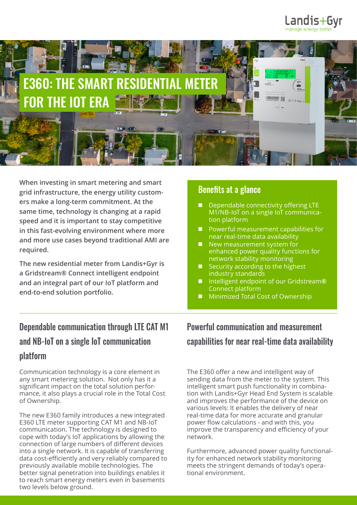



**When investing in smart metering and smart grid infrastructure, the energy utility customers make a long-term commitment. At the same time, technology is changing at a rapid speed and it is important to stay competitive in this fast-evolving environment where more and more use cases beyond traditional AMI are required.**

**The new residential meter from Landis+Gyr is a Gridstream® Connect intelligent endpoint and an integral part of our IoT platform and end-to-end solution portfolio.** 

#### Benefits at a glance

- Dependable connectivity offering LTE M1/NB-IoT on a single IoT communication platform
- **Powerful measurement capabilities for** near real-time data availability
- New measurement system for enhanced power quality functions for network stability monitoring
- Security according to the highest industry standards
- Intelligent endpoint of our Gridstream**®**  Connect platform
- **Minimized Total Cost of Ownership**

# Dependable communication through LTE CAT M1 and NB-IoT on a single IoT communication platform

Communication technology is a core element in any smart metering solution. Not only has it a significant impact on the total solution performance, it also plays a crucial role in the Total Cost of Ownership.

The new E360 family introduces a new integrated E360 LTE meter supporting CAT M1 and NB-IoT communication. The technology is designed to cope with today's IoT applications by allowing the connection of large numbers of different devices into a single network. It is capable of transferring data cost-efficiently and very reliably compared to previously available mobile technologies. The better signal penetration into buildings enables it to reach smart energy meters even in basements two levels below ground.

# Powerful communication and measurement capabilities for near real-time data availability

The E360 offer a new and intelligent way of sending data from the meter to the system. This intelligent smart push functionality in combination with Landis+Gyr Head End System is scalable and improves the performance of the device on various levels: It enables the delivery of near real-time data for more accurate and granular power flow calculations - and with this, you improve the transparency and efficiency of your network.

Furthermore, advanced power quality functionality for enhanced network stability monitoring meets the stringent demands of today's operational environment.